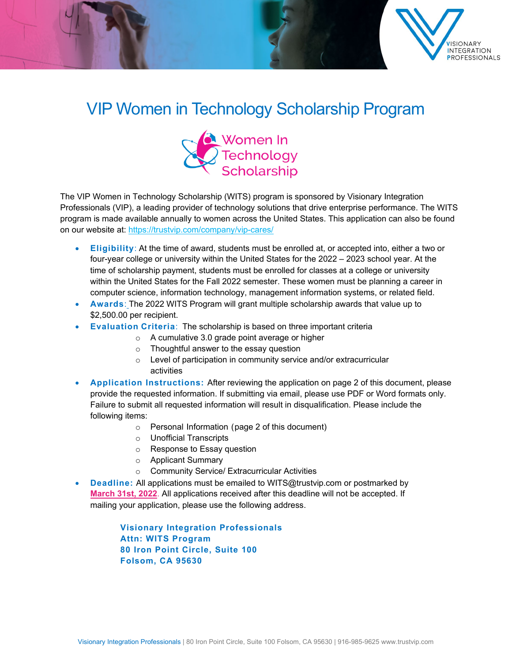

## VIP Women in Technology Scholarship Program



The VIP Women in Technology Scholarship (WITS) program is sponsored by Visionary Integration Professionals (VIP), a leading provider of technology solutions that drive enterprise performance. The WITS program is made available annually to women across the United States. This application can also be found on our website at:<https://trustvip.com/company/vip-cares/>

- **Eligibility**: At the time of award, students must be enrolled at, or accepted into, either a two or four-year college or university within the United States for the 2022 – 2023 school year. At the time of scholarship payment, students must be enrolled for classes at a college or university within the United States for the Fall 2022 semester. These women must be planning a career in computer science, information technology, management information systems, or related field.
- **Awards**: The 2022 WITS Program will grant multiple scholarship awards that value up to \$2,500.00 per recipient.
- **Evaluation Criteria**: The scholarship is based on three important criteria
	- o A cumulative 3.0 grade point average or higher
	- o Thoughtful answer to the essay question
	- o Level of participation in community service and/or extracurricular activities
- **Application Instructions:** After reviewing the application on page 2 of this document, please provide the requested information. If submitting via email, please use PDF or Word formats only. Failure to submit all requested information will result in disqualification. Please include the following items:
	- o Personal Information (page 2 of this document)
	- o Unofficial Transcripts
	- o Response to Essay question
	- o Applicant Summary
	- o Community Service/ Extracurricular Activities
- **Deadline:** All applications must be emailed to [WITS@trustvip.com](mailto:WITS@trustvip.com) or postmarked by **March 31st, 2022**. All applications received after this deadline will not be accepted. If mailing your application, please use the following address.

**Visionary Integration Professionals Attn: WITS Program 80 Iron Point Circle, Suite 100 Folsom, CA 95630**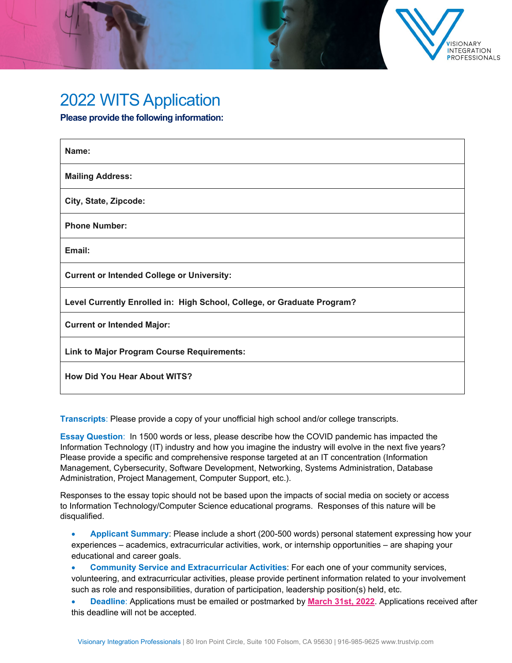

## 2022 WITS Application

**Please provide the following information:**

| Name:                                                                   |
|-------------------------------------------------------------------------|
| <b>Mailing Address:</b>                                                 |
| City, State, Zipcode:                                                   |
| <b>Phone Number:</b>                                                    |
| Email:                                                                  |
| <b>Current or Intended College or University:</b>                       |
| Level Currently Enrolled in: High School, College, or Graduate Program? |
| <b>Current or Intended Major:</b>                                       |
| <b>Link to Major Program Course Requirements:</b>                       |
| <b>How Did You Hear About WITS?</b>                                     |

**Transcripts**: Please provide a copy of your unofficial high school and/or college transcripts.

**Essay Question**: In 1500 words or less, please describe how the COVID pandemic has impacted the Information Technology (IT) industry and how you imagine the industry will evolve in the next five years? Please provide a specific and comprehensive response targeted at an IT concentration (Information Management, Cybersecurity, Software Development, Networking, Systems Administration, Database Administration, Project Management, Computer Support, etc.).

Responses to the essay topic should not be based upon the impacts of social media on society or access to Information Technology/Computer Science educational programs. Responses of this nature will be disqualified.

• **Applicant Summary**: Please include a short (200-500 words) personal statement expressing how your experiences – academics, extracurricular activities, work, or internship opportunities – are shaping your educational and career goals.

• **Community Service and Extracurricular Activities**: For each one of your community services, volunteering, and extracurricular activities, please provide pertinent information related to your involvement such as role and responsibilities, duration of participation, leadership position(s) held, etc.

• **Deadline**: Applications must be emailed or postmarked by **March 31st, 2022**. Applications received after this deadline will not be accepted.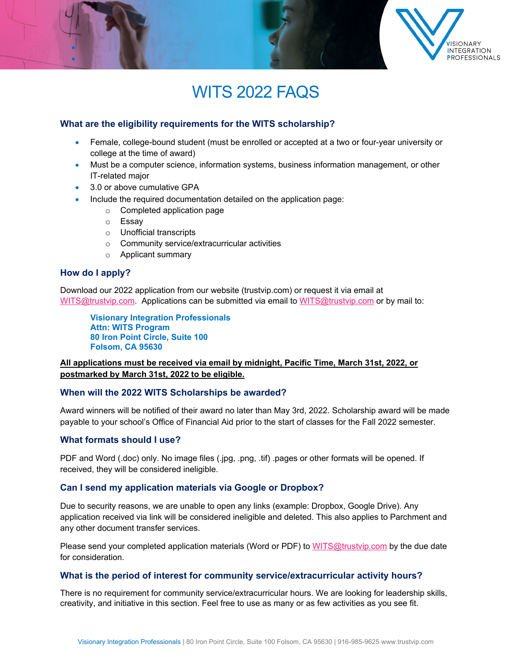

## WITS 2022 FAQS

#### **What are the eligibility requirements for the WITS scholarship?**

- Female, college-bound student (must be enrolled or accepted at a two or four-year university or college at the time of award)
- Must be a computer science, information systems, business information management, or other IT-related major
- 3.0 or above cumulative GPA
- Include the required documentation detailed on the application page:
	- o Completed application page
	- o Essay
	- o Unofficial transcripts
	- o Community service/extracurricular activities
	- o Applicant summary

#### **How do I apply?**

Download our 2022 application from our website (trustvip.com) or request it via email at [WITS@trustvip.com.](mailto:WITS@trustvip.com) Applications can be submitted via email to [WITS@trustvip.com](mailto:WITS@trustvip.com) or by mail to:

**Visionary Integration Professionals Attn: WITS Program 80 Iron Point Circle, Suite 100 Folsom, CA 95630**

#### **All applications must be received via email by midnight, Pacific Time, March 31st, 2022, or postmarked by March 31st, 2022 to be eligible.**

#### **When will the 2022 WITS Scholarships be awarded?**

Award winners will be notified of their award no later than May 3rd, 2022. Scholarship award will be made payable to your school's Office of Financial Aid prior to the start of classes for the Fall 2022 semester.

#### **What formats should I use?**

PDF and Word (.doc) only. No image files (.jpg, .png, .tif) .pages or other formats will be opened. If received, they will be considered ineligible.

#### **Can I send my application materials via Google or Dropbox?**

Due to security reasons, we are unable to open any links (example: Dropbox, Google Drive). Any application received via link will be considered ineligible and deleted. This also applies to Parchment and any other document transfer services.

Please send your completed application materials (Word or PDF) to [WITS@trustvip.com](mailto:WITS@trustvip.com) by the due date for consideration.

#### **What is the period of interest for community service/extracurricular activity hours?**

There is no requirement for community service/extracurricular hours. We are looking for leadership skills, creativity, and initiative in this section. Feel free to use as many or as few activities as you see fit.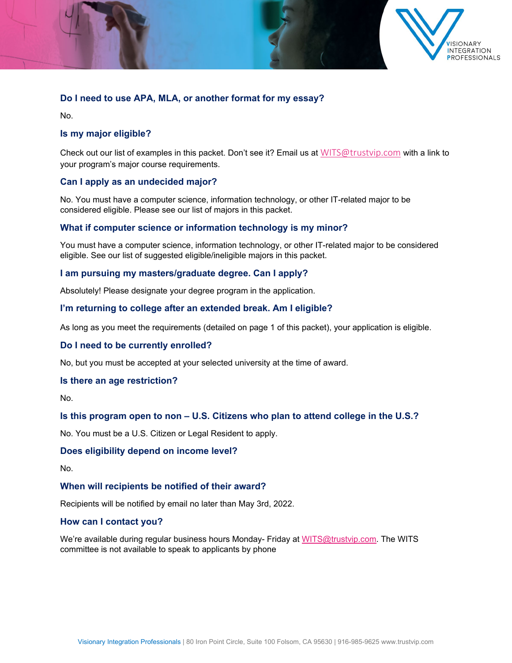

#### **Do I need to use APA, MLA, or another format for my essay?**

No.

#### **Is my major eligible?**

Check out our list of examples in this packet. Don't see it? Email us at [WITS@trustvip.com](mailto:WITS@trustvip.com) with a link to your program's major course requirements.

#### **Can I apply as an undecided major?**

No. You must have a computer science, information technology, or other IT-related major to be considered eligible. Please see our list of majors in this packet.

#### **What if computer science or information technology is my minor?**

You must have a computer science, information technology, or other IT-related major to be considered eligible. See our list of suggested eligible/ineligible majors in this packet.

#### **I am pursuing my masters/graduate degree. Can I apply?**

Absolutely! Please designate your degree program in the application.

#### **I'm returning to college after an extended break. Am I eligible?**

As long as you meet the requirements (detailed on page 1 of this packet), your application is eligible.

#### **Do I need to be currently enrolled?**

No, but you must be accepted at your selected university at the time of award.

#### **Is there an age restriction?**

No.

#### **Is this program open to non – U.S. Citizens who plan to attend college in the U.S.?**

No. You must be a U.S. Citizen or Legal Resident to apply.

#### **Does eligibility depend on income level?**

No.

#### **When will recipients be notified of their award?**

Recipients will be notified by email no later than May 3rd, 2022.

#### **How can I contact you?**

We're available during regular business hours Monday- Friday at [WITS@trustvip.com.](mailto:WITS@trustvip.com) The WITS committee is not available to speak to applicants by phone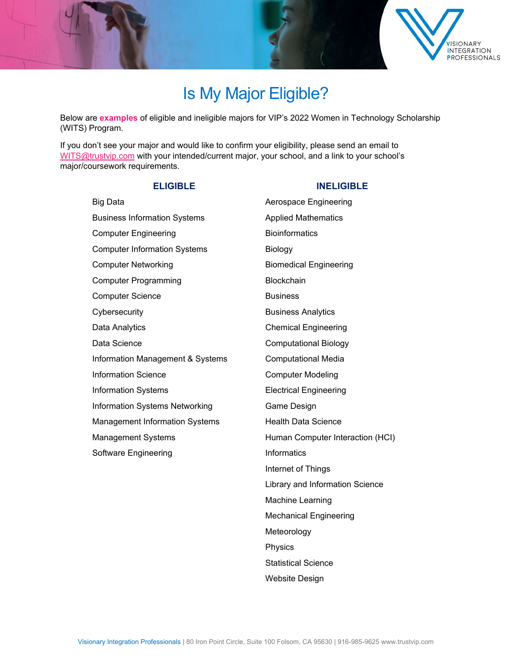

## Is My Major Eligible?

Below are **examples** of eligible and ineligible majors for VIP's 2022 Women in Technology Scholarship (WITS) Program.

If you don't see your major and would like to confirm your eligibility, please send an email to [WITS@trustvip.com](mailto:WITS@trustvip.com) with your intended/current major, your school, and a link to your school's major/coursework requirements.

#### **ELIGIBLE INELIGIBLE**

### Big Data **Australian Engineering** Aerospace Engineering Business Information Systems **Applied Mathematics** Computer Engineering **Bioinformatics Bioinformatics** Computer Information Systems **Biology** Computer Networking **Biomedical Engineering** Computer Programming Blockchain Computer Science **Business** Business Cybersecurity **Business** Analytics Data Analytics **Chemical Engineering** Data Science **Computational Biology** Information Management & Systems Computational Media Information Science **Computer Modeling** Information Systems Electrical Engineering Information Systems Networking Game Design Management Information Systems Health Data Science Management Systems **Human Computer Interaction (HCI)** Software Engineering **Informatics**

# Internet of Things Library and Information Science Machine Learning Mechanical Engineering Meteorology Physics Statistical Science

Visionary Integration Professionals | 80 Iron Point Circle, Suite 100 Folsom, CA 95630 | 916-985-9625 www.trustvip.com

Website Design